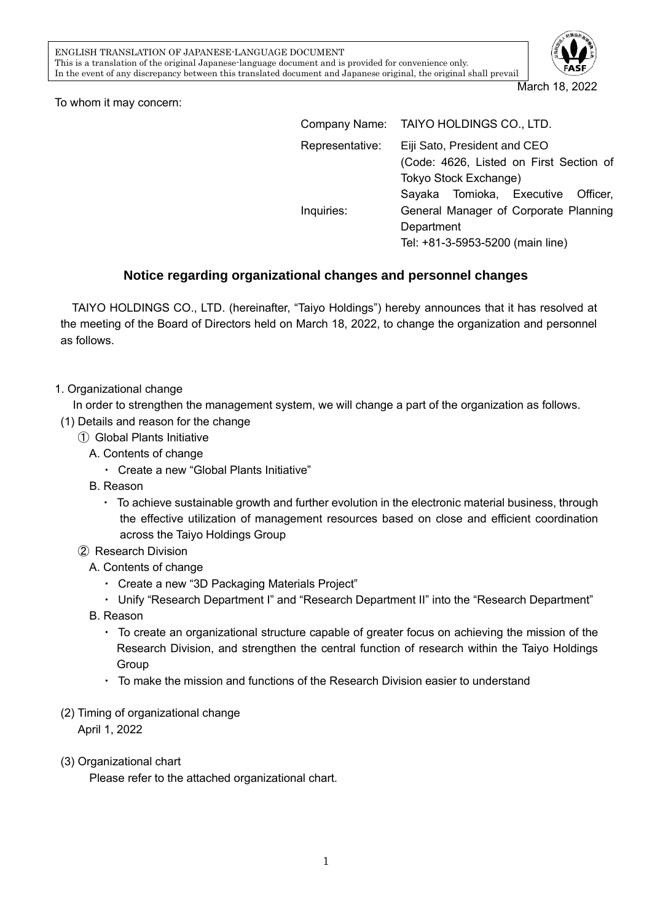

March 18, 2022

To whom it may concern:

|                 | Company Name: TAIYO HOLDINGS CO., LTD.                                                           |  |  |
|-----------------|--------------------------------------------------------------------------------------------------|--|--|
| Representative: | Eiji Sato, President and CEO<br>(Code: 4626, Listed on First Section of<br>Tokyo Stock Exchange) |  |  |
|                 | Sayaka Tomioka, Executive Officer,                                                               |  |  |
| Inquiries:      | General Manager of Corporate Planning<br>Department<br>Tel: +81-3-5953-5200 (main line)          |  |  |

## **Notice regarding organizational changes and personnel changes**

TAIYO HOLDINGS CO., LTD. (hereinafter, "Taiyo Holdings") hereby announces that it has resolved at the meeting of the Board of Directors held on March 18, 2022, to change the organization and personnel as follows.

1. Organizational change

In order to strengthen the management system, we will change a part of the organization as follows.

- (1) Details and reason for the change
	- ① Global Plants Initiative
		- A. Contents of change
			- ・ Create a new "Global Plants Initiative"
		- B. Reason
			- ・ To achieve sustainable growth and further evolution in the electronic material business, through the effective utilization of management resources based on close and efficient coordination across the Taiyo Holdings Group
	- ② Research Division
		- A. Contents of change
			- ・ Create a new "3D Packaging Materials Project"
			- ・ Unify "Research Department I" and "Research Department II" into the "Research Department"
		- B. Reason
			- ・ To create an organizational structure capable of greater focus on achieving the mission of the Research Division, and strengthen the central function of research within the Taiyo Holdings Group
			- ・ To make the mission and functions of the Research Division easier to understand
- (2) Timing of organizational change

April 1, 2022

### (3) Organizational chart

Please refer to the attached organizational chart.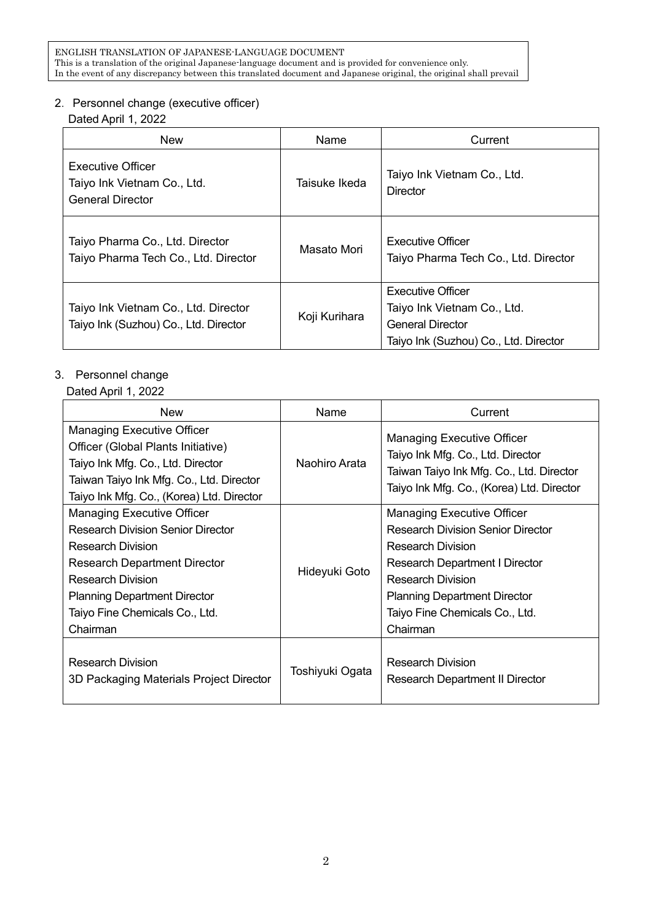#### 2.Personnel change (executive officer)

Dated April 1, 2022

| <b>New</b>                                                                         | Name          | Current                                                                                                                     |
|------------------------------------------------------------------------------------|---------------|-----------------------------------------------------------------------------------------------------------------------------|
| <b>Executive Officer</b><br>Taiyo Ink Vietnam Co., Ltd.<br><b>General Director</b> | Taisuke Ikeda | Taiyo Ink Vietnam Co., Ltd.<br><b>Director</b>                                                                              |
| Taiyo Pharma Co., Ltd. Director<br>Taiyo Pharma Tech Co., Ltd. Director            | Masato Mori   | Executive Officer<br>Taiyo Pharma Tech Co., Ltd. Director                                                                   |
| Taiyo Ink Vietnam Co., Ltd. Director<br>Taiyo Ink (Suzhou) Co., Ltd. Director      | Koji Kurihara | <b>Executive Officer</b><br>Taiyo Ink Vietnam Co., Ltd.<br><b>General Director</b><br>Taiyo Ink (Suzhou) Co., Ltd. Director |

# 3. Personnel change

#### Dated April 1, 2022

| <b>New</b>                                                                                                                                                                                                                                                        | Name            | Current                                                                                                                                                                                                                                                             |
|-------------------------------------------------------------------------------------------------------------------------------------------------------------------------------------------------------------------------------------------------------------------|-----------------|---------------------------------------------------------------------------------------------------------------------------------------------------------------------------------------------------------------------------------------------------------------------|
| <b>Managing Executive Officer</b><br>Officer (Global Plants Initiative)<br>Taiyo Ink Mfg. Co., Ltd. Director<br>Taiwan Taiyo Ink Mfg. Co., Ltd. Director<br>Taiyo Ink Mfg. Co., (Korea) Ltd. Director                                                             | Naohiro Arata   | <b>Managing Executive Officer</b><br>Taiyo Ink Mfg. Co., Ltd. Director<br>Taiwan Taiyo Ink Mfg. Co., Ltd. Director<br>Taiyo Ink Mfg. Co., (Korea) Ltd. Director                                                                                                     |
| <b>Managing Executive Officer</b><br><b>Research Division Senior Director</b><br><b>Research Division</b><br><b>Research Department Director</b><br><b>Research Division</b><br><b>Planning Department Director</b><br>Taiyo Fine Chemicals Co., Ltd.<br>Chairman | Hideyuki Goto   | <b>Managing Executive Officer</b><br><b>Research Division Senior Director</b><br><b>Research Division</b><br><b>Research Department I Director</b><br><b>Research Division</b><br><b>Planning Department Director</b><br>Taiyo Fine Chemicals Co., Ltd.<br>Chairman |
| <b>Research Division</b><br>3D Packaging Materials Project Director                                                                                                                                                                                               | Toshiyuki Ogata | <b>Research Division</b><br>Research Department II Director                                                                                                                                                                                                         |